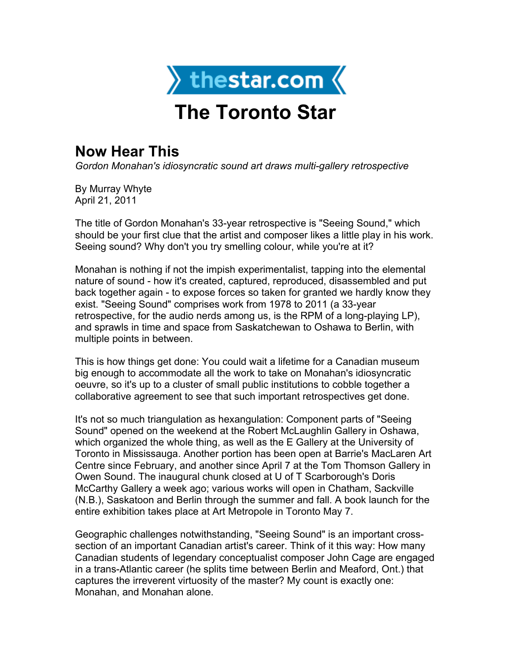

## **The Toronto Star**

## **Now Hear This**

*Gordon Monahan's idiosyncratic sound art draws multi-gallery retrospective*

By Murray Whyte April 21, 2011

The title of Gordon Monahan's 33-year retrospective is "Seeing Sound," which should be your first clue that the artist and composer likes a little play in his work. Seeing sound? Why don't you try smelling colour, while you're at it?

Monahan is nothing if not the impish experimentalist, tapping into the elemental nature of sound - how it's created, captured, reproduced, disassembled and put back together again - to expose forces so taken for granted we hardly know they exist. "Seeing Sound" comprises work from 1978 to 2011 (a 33-year retrospective, for the audio nerds among us, is the RPM of a long-playing LP), and sprawls in time and space from Saskatchewan to Oshawa to Berlin, with multiple points in between.

This is how things get done: You could wait a lifetime for a Canadian museum big enough to accommodate all the work to take on Monahan's idiosyncratic oeuvre, so it's up to a cluster of small public institutions to cobble together a collaborative agreement to see that such important retrospectives get done.

It's not so much triangulation as hexangulation: Component parts of "Seeing Sound" opened on the weekend at the Robert McLaughlin Gallery in Oshawa, which organized the whole thing, as well as the E Gallery at the University of Toronto in Mississauga. Another portion has been open at Barrie's MacLaren Art Centre since February, and another since April 7 at the Tom Thomson Gallery in Owen Sound. The inaugural chunk closed at U of T Scarborough's Doris McCarthy Gallery a week ago; various works will open in Chatham, Sackville (N.B.), Saskatoon and Berlin through the summer and fall. A book launch for the entire exhibition takes place at Art Metropole in Toronto May 7.

Geographic challenges notwithstanding, "Seeing Sound" is an important crosssection of an important Canadian artist's career. Think of it this way: How many Canadian students of legendary conceptualist composer John Cage are engaged in a trans-Atlantic career (he splits time between Berlin and Meaford, Ont.) that captures the irreverent virtuosity of the master? My count is exactly one: Monahan, and Monahan alone.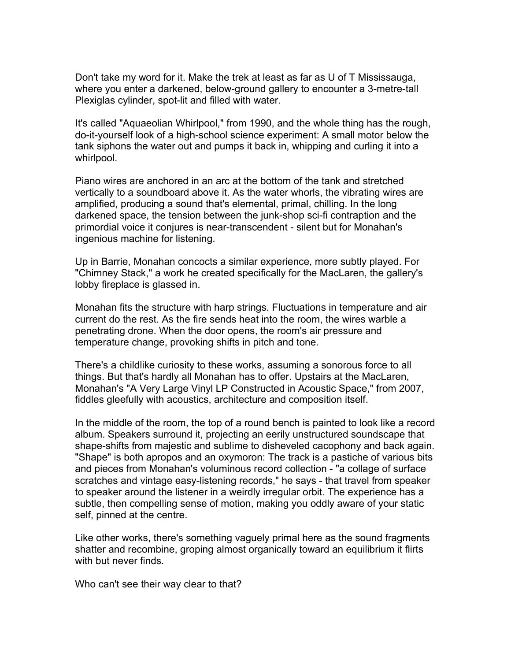Don't take my word for it. Make the trek at least as far as U of T Mississauga, where you enter a darkened, below-ground gallery to encounter a 3-metre-tall Plexiglas cylinder, spot-lit and filled with water.

It's called "Aquaeolian Whirlpool," from 1990, and the whole thing has the rough, do-it-yourself look of a high-school science experiment: A small motor below the tank siphons the water out and pumps it back in, whipping and curling it into a whirlpool.

Piano wires are anchored in an arc at the bottom of the tank and stretched vertically to a soundboard above it. As the water whorls, the vibrating wires are amplified, producing a sound that's elemental, primal, chilling. In the long darkened space, the tension between the junk-shop sci-fi contraption and the primordial voice it conjures is near-transcendent - silent but for Monahan's ingenious machine for listening.

Up in Barrie, Monahan concocts a similar experience, more subtly played. For "Chimney Stack," a work he created specifically for the MacLaren, the gallery's lobby fireplace is glassed in.

Monahan fits the structure with harp strings. Fluctuations in temperature and air current do the rest. As the fire sends heat into the room, the wires warble a penetrating drone. When the door opens, the room's air pressure and temperature change, provoking shifts in pitch and tone.

There's a childlike curiosity to these works, assuming a sonorous force to all things. But that's hardly all Monahan has to offer. Upstairs at the MacLaren, Monahan's "A Very Large Vinyl LP Constructed in Acoustic Space," from 2007, fiddles gleefully with acoustics, architecture and composition itself.

In the middle of the room, the top of a round bench is painted to look like a record album. Speakers surround it, projecting an eerily unstructured soundscape that shape-shifts from majestic and sublime to disheveled cacophony and back again. "Shape" is both apropos and an oxymoron: The track is a pastiche of various bits and pieces from Monahan's voluminous record collection - "a collage of surface scratches and vintage easy-listening records," he says - that travel from speaker to speaker around the listener in a weirdly irregular orbit. The experience has a subtle, then compelling sense of motion, making you oddly aware of your static self, pinned at the centre.

Like other works, there's something vaguely primal here as the sound fragments shatter and recombine, groping almost organically toward an equilibrium it flirts with but never finds.

Who can't see their way clear to that?